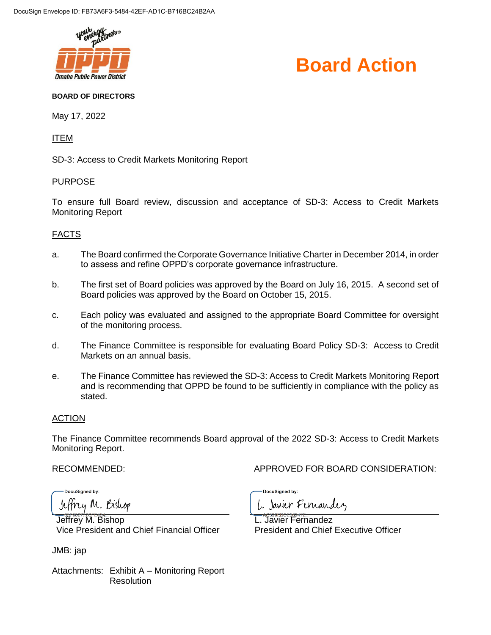



#### **BOARD OF DIRECTORS**

May 17, 2022

#### ITEM

SD-3: Access to Credit Markets Monitoring Report

#### PURPOSE

To ensure full Board review, discussion and acceptance of SD-3: Access to Credit Markets Monitoring Report

#### FACTS

- a. The Board confirmed the Corporate Governance Initiative Charter in December 2014, in order to assess and refine OPPD's corporate governance infrastructure.
- b. The first set of Board policies was approved by the Board on July 16, 2015. A second set of Board policies was approved by the Board on October 15, 2015.
- c. Each policy was evaluated and assigned to the appropriate Board Committee for oversight of the monitoring process.
- d. The Finance Committee is responsible for evaluating Board Policy SD-3: Access to Credit Markets on an annual basis.
- e. The Finance Committee has reviewed the SD-3: Access to Credit Markets Monitoring Report and is recommending that OPPD be found to be sufficiently in compliance with the policy as stated.

#### ACTION

The Finance Committee recommends Board approval of the 2022 SD-3: Access to Credit Markets Monitoring Report.

RECOMMENDED: APPROVED FOR BOARD CONSIDERATION:

**DocuSianed by:** Jeffrey M. Bishop

Jeffrey M. Bishop Vice President and Chief Financial Officer

JMB: jap

Attachments: Exhibit A – Monitoring Report **Resolution** 

DocuSigned by: L. Janier Fernandez

L. Javier Fernandez

President and Chief Executive Officer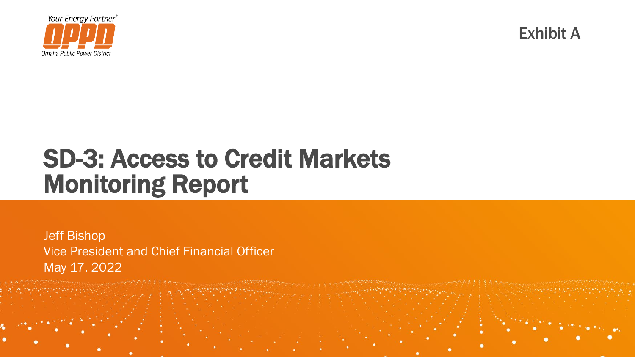

Exhibit A

## SD-3: Access to Credit Markets Monitoring Report

Jeff Bishop Vice President and Chief Financial Officer May 17, 2022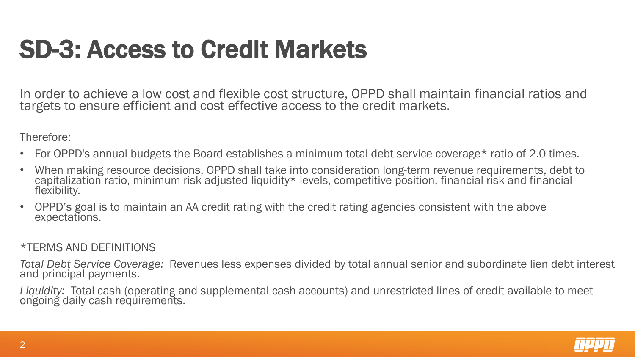# SD-3: Access to Credit Markets

In order to achieve a low cost and flexible cost structure, OPPD shall maintain financial ratios and targets to ensure efficient and cost effective access to the credit markets.

Therefore:

- For OPPD's annual budgets the Board establishes a minimum total debt service coverage\* ratio of 2.0 times.
- When making resource decisions, OPPD shall take into consideration long-term revenue requirements, debt to capitalization ratio, minimum risk adjusted liquidity\* levels, competitive position, financial risk and financial<br>flexibility.
- OPPD's goal is to maintain an AA credit rating with the credit rating agencies consistent with the above expectations.

#### \*TERMS AND DEFINITIONS

*Total Debt Service Coverage:* Revenues less expenses divided by total annual senior and subordinate lien debt interest<br>and principal payments.

*Liquidity:* Total cash (operating and supplemental cash accounts) and unrestricted lines of credit available to meet ongoing daily cash requirements.

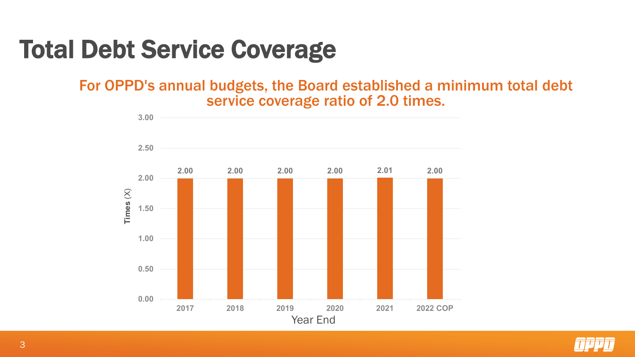# Total Debt Service Coverage

#### For OPPD's annual budgets, the Board established a minimum total debt service coverage ratio of 2.0 times.



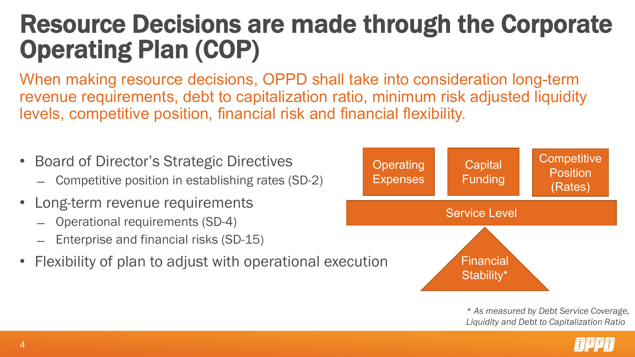## Resource Decisions are made through the Corporate Operating Plan (COP)

When making resource decisions, OPPD shall take into consideration long-term revenue requirements, debt to capitalization ratio, minimum risk adjusted liquidity levels, competitive position, financial risk and financial flexibility.





*\* As measured by Debt Service Coverage, Liquidity and Debt to Capitalization Ratio*

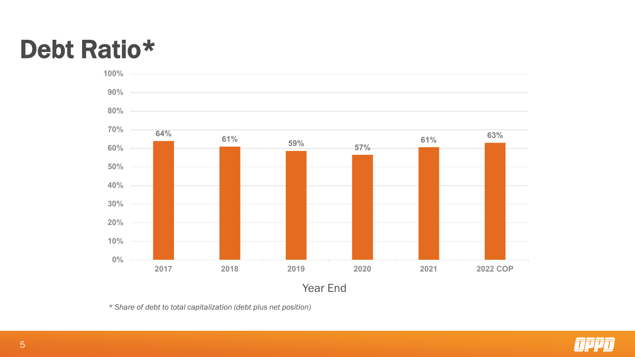# Debt Ratio\*



*\* Share of debt to total capitalization (debt plus net position)*

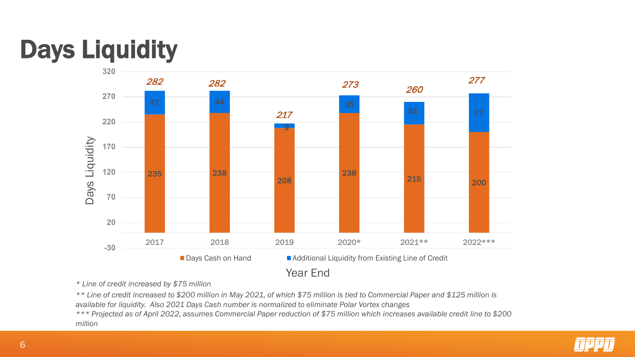# Days Liquidity



*\* Line of credit increased by \$75 million*

*\*\* Line of credit increased to \$200 million in May 2021, of which \$75 million is tied to Commercial Paper and \$125 million is available for liquidity. Also 2021 Days Cash number is normalized to eliminate Polar Vortex changes*

*\*\*\* Projected as of April 2022, assumes Commercial Paper reduction of \$75 million which increases available credit line to \$200 million*

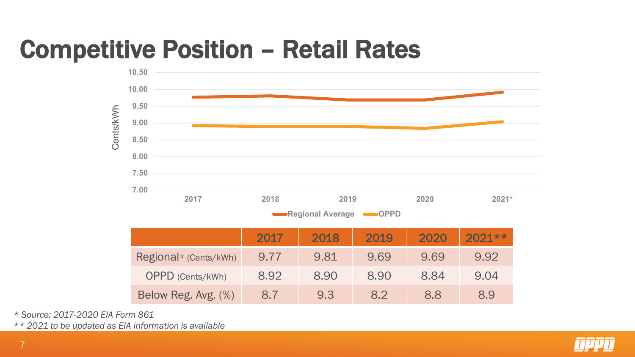# Competitive Position – Retail Rates



*\* Source: 2017-2020 EIA Form 861*

*\*\* 2021 to be updated as EIA information is available*

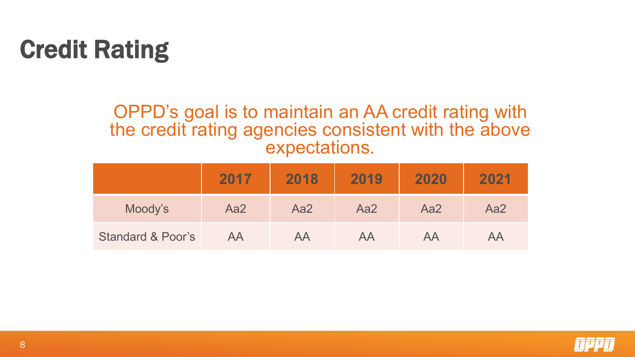# Credit Rating

#### OPPD's goal is to maintain an AA credit rating with the credit rating agencies consistent with the above expectations.

|                              | 2017 | 2018 | 2019 | 2020 | 2021 |
|------------------------------|------|------|------|------|------|
| Moody's                      | Aa2  | Aa2  | Aa2  | Aa2  | Aa2  |
| <b>Standard &amp; Poor's</b> | AA   | AA   | AA   | AA   | AА   |

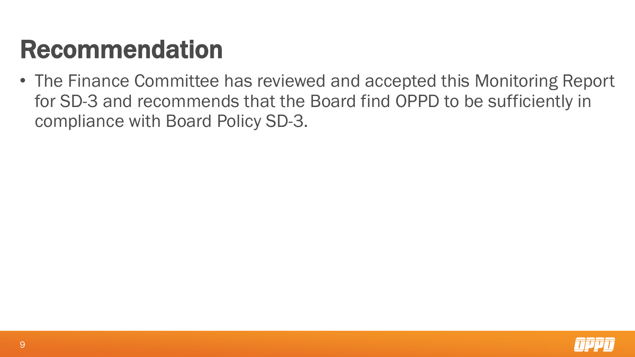# Recommendation

• The Finance Committee has reviewed and accepted this Monitoring Report for SD-3 and recommends that the Board find OPPD to be sufficiently in compliance with Board Policy SD-3.

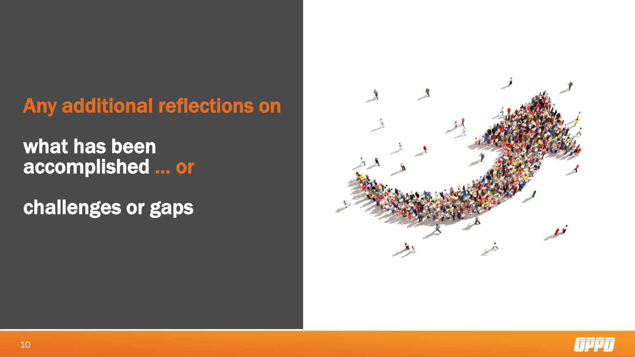### Any additional reflections on

### what has been accomplished … or

challenges or gaps